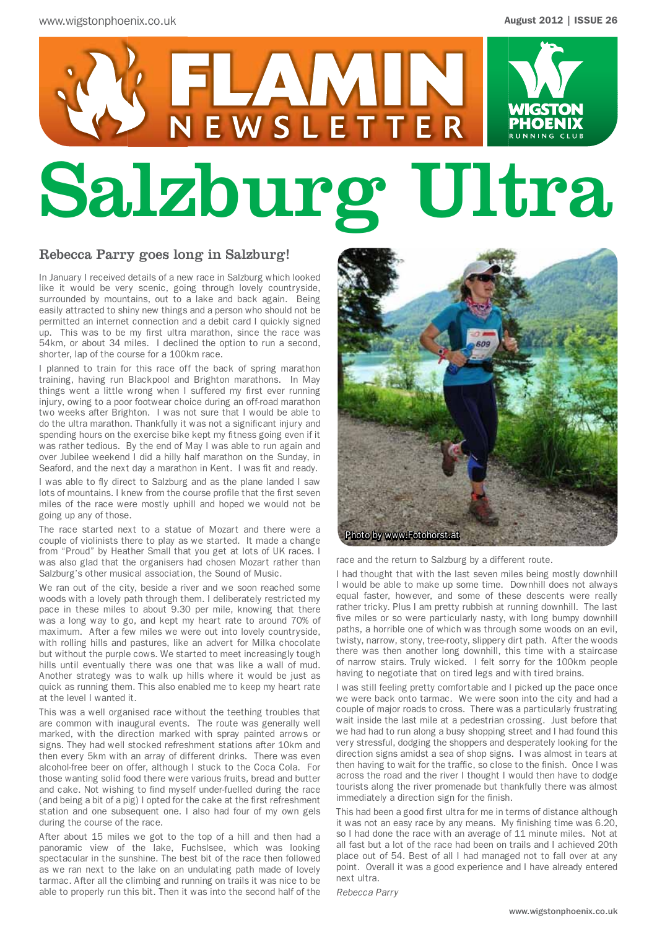# NEWSLETTER **RUNNING CIU** Salzburg Ultra

#### Rebecca Parry goes long in Salzburg!

In January I received details of a new race in Salzburg which looked like it would be very scenic, going through lovely countryside, surrounded by mountains, out to a lake and back again. Being easily attracted to shiny new things and a person who should not be permitted an internet connection and a debit card I quickly signed up. This was to be my first ultra marathon, since the race was 54km, or about 34 miles. I declined the option to run a second, shorter, lap of the course for a 100km race.

I planned to train for this race off the back of spring marathon training, having run Blackpool and Brighton marathons. In May things went a little wrong when I suffered my first ever running injury, owing to a poor footwear choice during an off-road marathon two weeks after Brighton. I was not sure that I would be able to do the ultra marathon. Thankfully it was not a significant injury and spending hours on the exercise bike kept my fitness going even if it was rather tedious. By the end of May I was able to run again and over Jubilee weekend I did a hilly half marathon on the Sunday, in Seaford, and the next day a marathon in Kent. I was fit and ready.

I was able to fly direct to Salzburg and as the plane landed I saw lots of mountains. I knew from the course profile that the first seven miles of the race were mostly uphill and hoped we would not be going up any of those.

The race started next to a statue of Mozart and there were a couple of violinists there to play as we started. It made a change from "Proud" by Heather Small that you get at lots of UK races. I was also glad that the organisers had chosen Mozart rather than Salzburg's other musical association, the Sound of Music.

We ran out of the city, beside a river and we soon reached some woods with a lovely path through them. I deliberately restricted my pace in these miles to about 9.30 per mile, knowing that there was a long way to go, and kept my heart rate to around 70% of maximum. After a few miles we were out into lovely countryside, with rolling hills and pastures, like an advert for Milka chocolate but without the purple cows. We started to meet increasingly tough hills until eventually there was one that was like a wall of mud. Another strategy was to walk up hills where it would be just as quick as running them. This also enabled me to keep my heart rate at the level I wanted it.

This was a well organised race without the teething troubles that are common with inaugural events. The route was generally well marked, with the direction marked with spray painted arrows or signs. They had well stocked refreshment stations after 10km and then every 5km with an array of different drinks. There was even alcohol-free beer on offer, although I stuck to the Coca Cola. For those wanting solid food there were various fruits, bread and butter and cake. Not wishing to find myself under-fuelled during the race (and being a bit of a pig) I opted for the cake at the first refreshment station and one subsequent one. I also had four of my own gels during the course of the race.

After about 15 miles we got to the top of a hill and then had a panoramic view of the lake, Fuchslsee, which was looking spectacular in the sunshine. The best bit of the race then followed as we ran next to the lake on an undulating path made of lovely tarmac. After all the climbing and running on trails it was nice to be able to properly run this bit. Then it was into the second half of the



race and the return to Salzburg by a different route.

I had thought that with the last seven miles being mostly downhill I would be able to make up some time. Downhill does not always equal faster, however, and some of these descents were really rather tricky. Plus I am pretty rubbish at running downhill. The last five miles or so were particularly nasty, with long bumpy downhill paths, a horrible one of which was through some woods on an evil, twisty, narrow, stony, tree-rooty, slippery dirt path. After the woods there was then another long downhill, this time with a staircase of narrow stairs. Truly wicked. I felt sorry for the 100km people having to negotiate that on tired legs and with tired brains.

I was still feeling pretty comfortable and I picked up the pace once we were back onto tarmac. We were soon into the city and had a couple of major roads to cross. There was a particularly frustrating wait inside the last mile at a pedestrian crossing. Just before that we had had to run along a busy shopping street and I had found this very stressful, dodging the shoppers and desperately looking for the direction signs amidst a sea of shop signs. I was almost in tears at then having to wait for the traffic, so close to the finish. Once I was across the road and the river I thought I would then have to dodge tourists along the river promenade but thankfully there was almost immediately a direction sign for the finish.

This had been a good first ultra for me in terms of distance although it was not an easy race by any means. My finishing time was 6.20, so I had done the race with an average of 11 minute miles. Not at all fast but a lot of the race had been on trails and I achieved 20th place out of 54. Best of all I had managed not to fall over at any point. Overall it was a good experience and I have already entered next ultra.

*Rebecca Parry*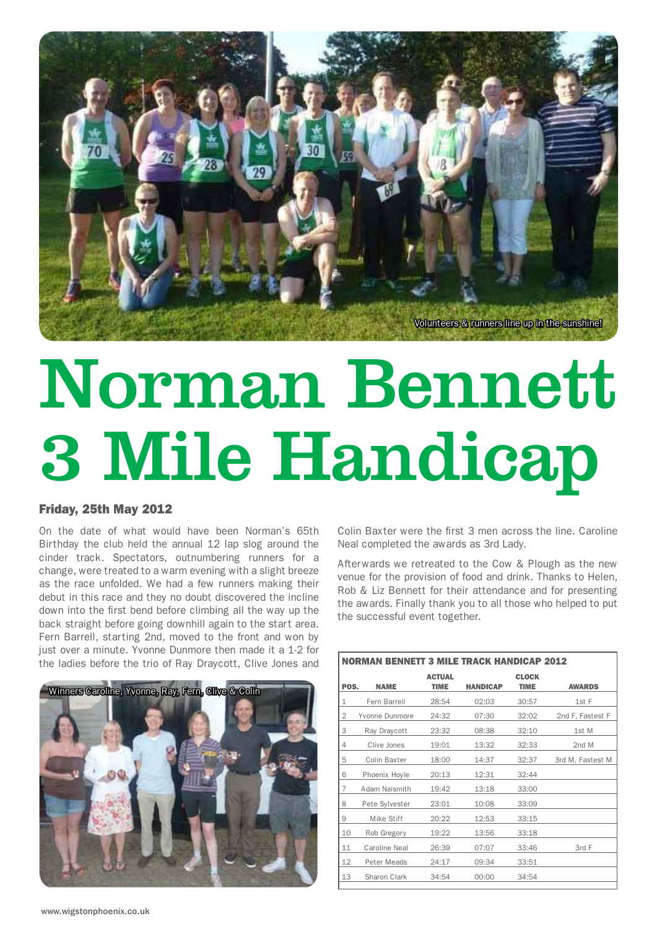

# Norman Bennett 3 Mile Handicap

#### Friday, 25th May 2012

On the date of what would have been Norman's 65th Birthday the club held the annual 12 lap slog around the cinder track. Spectators, outnumbering runners for a change, were treated to a warm evening with a slight breeze as the race unfolded. We had a few runners making their debut in this race and they no doubt discovered the incline down into the first bend before climbing all the way up the back straight before going downhill again to the start area. Fern Barrell, starting 2nd, moved to the front and won by just over a minute. Yvonne Dunmore then made it a 1-2 for the ladies before the trio of Ray Draycott, Clive Jones and



Colin Baxter were the first 3 men across the line. Caroline Neal completed the awards as 3rd Lady.

Afterwards we retreated to the Cow & Plough as the new venue for the provision of food and drink. Thanks to Helen, Rob & Liz Bennett for their attendance and for presenting the awards. Finally thank you to all those who helped to put the successful event together.

| <b>NORMAN BENNETT 3 MILE TRACK HANDICAP 2012</b> |                |                              |                 |                             |                  |  |  |
|--------------------------------------------------|----------------|------------------------------|-----------------|-----------------------------|------------------|--|--|
| POS.                                             | <b>NAME</b>    | <b>ACTUAL</b><br><b>TIME</b> | <b>HANDICAP</b> | <b>CLOCK</b><br><b>TIME</b> | <b>AWARDS</b>    |  |  |
| 1                                                | Fern Barrell   | 28:54                        | 02:03           | 30:57                       | 1st F            |  |  |
| 2                                                | Yvonne Dunmore | 24:32                        | 07:30           | 32:02                       | 2nd F, Fastest F |  |  |
| 3                                                | Ray Draycott   | 23:32                        | 08:38           | 32:10                       | 1st M            |  |  |
| 4                                                | Clive Jones    | 19:01                        | 13:32           | 32:33                       | 2nd M            |  |  |
| 5                                                | Colin Baxter   | 18:00                        | 14:37           | 32:37                       | 3rd M, Fastest M |  |  |
| 6                                                | Phoenix Hoyle  | 20:13                        | 12:31           | 32:44                       |                  |  |  |
| 7                                                | Adam Naismith  | 19:42                        | 13:18           | 33:00                       |                  |  |  |
| 8                                                | Pete Sylvester | 23:01                        | 10:08           | 33:09                       |                  |  |  |
| 9                                                | Mike Stiff     | 20:22                        | 12:53           | 33:15                       |                  |  |  |
| 10                                               | Rob Gregory    | 19:22                        | 13:56           | 33:18                       |                  |  |  |
| 11                                               | Caroline Neal  | 26:39                        | 07:07           | 33:46                       | 3rd F            |  |  |
| 12                                               | Peter Meads    | 24:17                        | 09:34           | 33:51                       |                  |  |  |
| 13                                               | Sharon Clark   | 34:54                        | 00:00           | 34:54                       |                  |  |  |
|                                                  |                |                              |                 |                             |                  |  |  |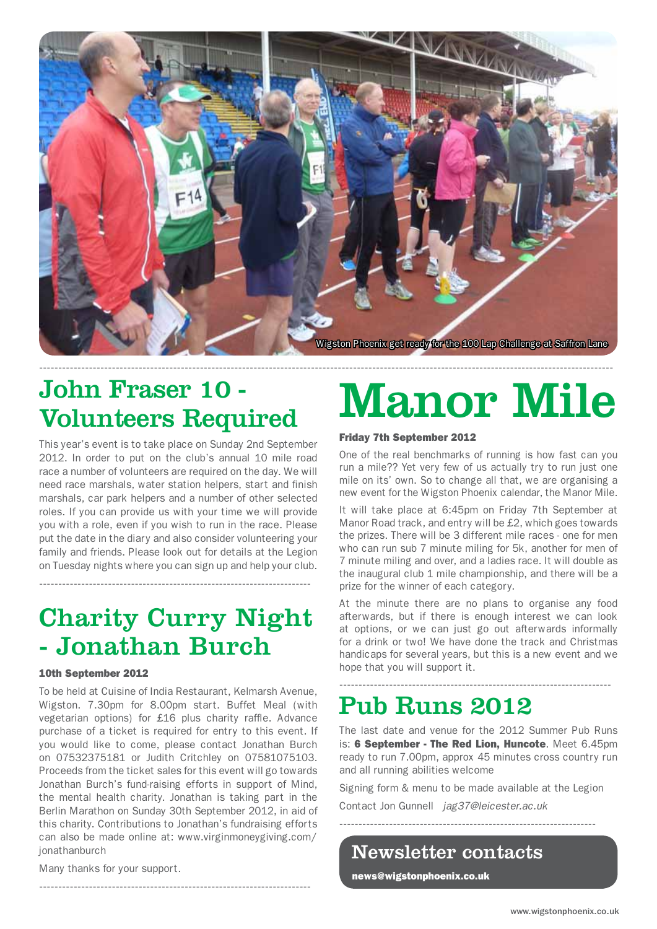

## John Fraser 10 - Volunteers Required

This year's event is to take place on Sunday 2nd September 2012. In order to put on the club's annual 10 mile road race a number of volunteers are required on the day. We will need race marshals, water station helpers, start and finish marshals, car park helpers and a number of other selected roles. If you can provide us with your time we will provide you with a role, even if you wish to run in the race. Please put the date in the diary and also consider volunteering your family and friends. Please look out for details at the Legion on Tuesday nights where you can sign up and help your club.

# Charity Curry Night - Jonathan Burch

-----------------------------------------------------------------------

#### 10th September 2012

To be held at Cuisine of India Restaurant, Kelmarsh Avenue, Wigston. 7.30pm for 8.00pm start. Buffet Meal (with vegetarian options) for £16 plus charity raffle. Advance purchase of a ticket is required for entry to this event. If you would like to come, please contact Jonathan Burch on 07532375181 or Judith Critchley on 07581075103. Proceeds from the ticket sales for this event will go towards Jonathan Burch's fund-raising efforts in support of Mind, the mental health charity. Jonathan is taking part in the Berlin Marathon on Sunday 30th September 2012, in aid of this charity. Contributions to Jonathan's fundraising efforts can also be made online at: www.virginmoneygiving.com/ jonathanburch

-----------------------------------------------------------------------

# Manor Mile

#### Friday 7th September 2012

One of the real benchmarks of running is how fast can you run a mile?? Yet very few of us actually try to run just one mile on its' own. So to change all that, we are organising a new event for the Wigston Phoenix calendar, the Manor Mile.

It will take place at 6:45pm on Friday 7th September at Manor Road track, and entry will be £2, which goes towards the prizes. There will be 3 different mile races - one for men who can run sub 7 minute miling for 5k, another for men of 7 minute miling and over, and a ladies race. It will double as the inaugural club 1 mile championship, and there will be a prize for the winner of each category.

At the minute there are no plans to organise any food afterwards, but if there is enough interest we can look at options, or we can just go out afterwards informally for a drink or two! We have done the track and Christmas handicaps for several years, but this is a new event and we hope that you will support it.

-----------------------------------------------------------------------

# Pub Runs 2012

The last date and venue for the 2012 Summer Pub Runs is: 6 September - The Red Lion, Huncote. Meet 6.45pm ready to run 7.00pm, approx 45 minutes cross country run and all running abilities welcome

Signing form & menu to be made available at the Legion

-------------------------------------------------------------------

Contact Jon Gunnell *jag37@leicester.ac.uk*

Newsletter contacts

news@wigstonphoenix.co.uk

Many thanks for your support.